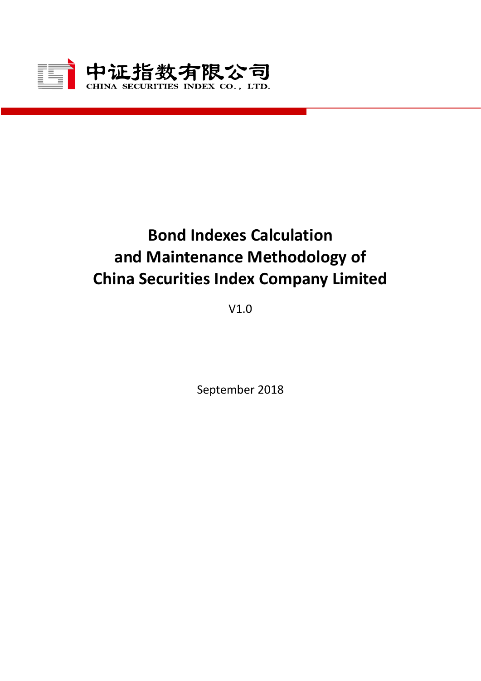

# **Bond Indexes Calculation and Maintenance Methodology of China Securities Index Company Limited**

V1.0

September 2018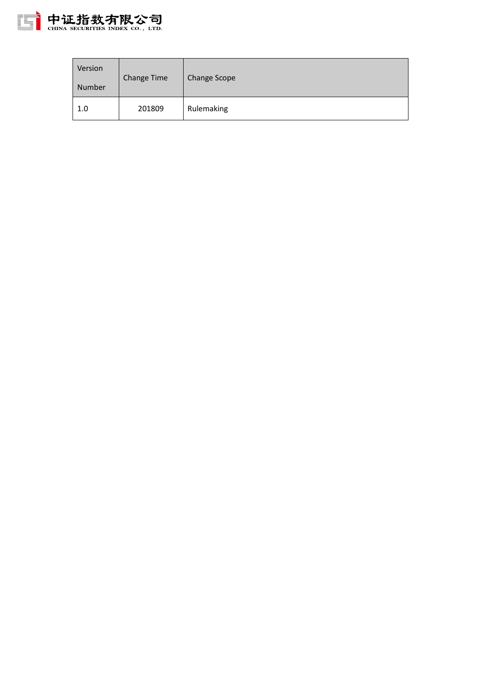

| Version<br>Number | Change Time | <b>Change Scope</b> |
|-------------------|-------------|---------------------|
| 1.0               | 201809      | Rulemaking          |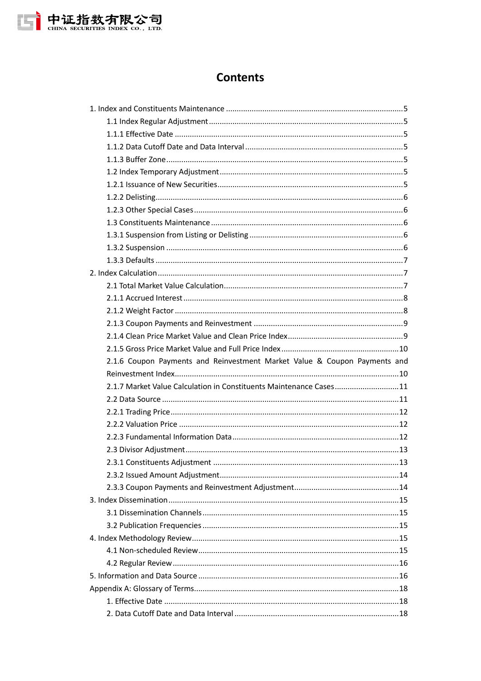

# **Contents**

| 2.1.6 Coupon Payments and Reinvestment Market Value & Coupon Payments and |  |
|---------------------------------------------------------------------------|--|
|                                                                           |  |
| 2.1.7 Market Value Calculation in Constituents Maintenance Cases11        |  |
|                                                                           |  |
|                                                                           |  |
|                                                                           |  |
|                                                                           |  |
|                                                                           |  |
|                                                                           |  |
|                                                                           |  |
|                                                                           |  |
|                                                                           |  |
|                                                                           |  |
|                                                                           |  |
|                                                                           |  |
|                                                                           |  |
|                                                                           |  |
|                                                                           |  |
|                                                                           |  |
|                                                                           |  |
|                                                                           |  |
|                                                                           |  |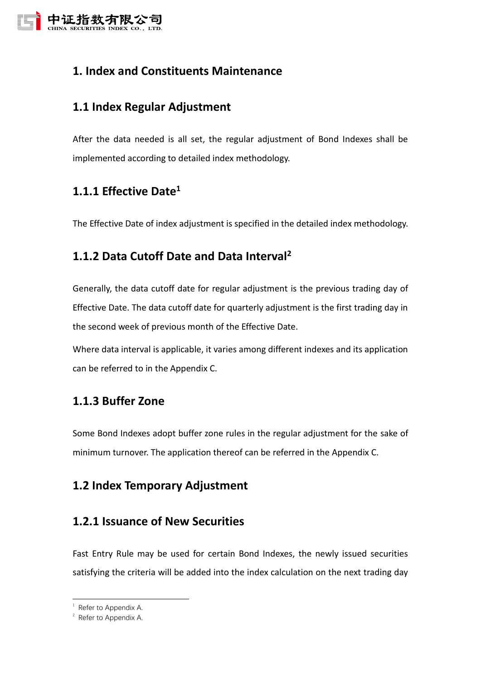

# <span id="page-4-0"></span>**1. Index and Constituents Maintenance**

# <span id="page-4-1"></span>**1.1 Index Regular Adjustment**

After the data needed is all set, the regular adjustment of Bond Indexes shall be implemented according to detailed index methodology.

# <span id="page-4-2"></span>**1.1.1 Effective Date<sup>1</sup>**

<span id="page-4-3"></span>The Effective Date of index adjustment is specified in the detailed index methodology.

# **1.1.2 Data Cutoff Date and Data Interval<sup>2</sup>**

Generally, the data cutoff date for regular adjustment is the previous trading day of Effective Date. The data cutoff date for quarterly adjustment is the first trading day in the second week of previous month of the Effective Date.

Where data interval is applicable, it varies among different indexes and its application can be referred to in the Appendix C.

## <span id="page-4-4"></span>**1.1.3 Buffer Zone**

Some Bond Indexes adopt buffer zone rules in the regular adjustment for the sake of minimum turnover. The application thereof can be referred in the Appendix C.

# <span id="page-4-5"></span>**1.2 Index Temporary Adjustment**

## <span id="page-4-6"></span>**1.2.1 Issuance of New Securities**

Fast Entry Rule may be used for certain Bond Indexes, the newly issued securities satisfying the criteria will be added into the index calculation on the next trading day

-

 $1$  Refer to Appendix A.

 $2^2$  Refer to Appendix A.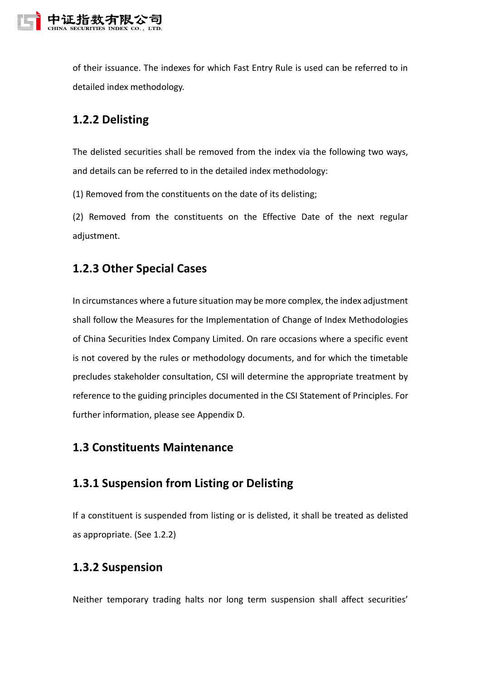

of their issuance. The indexes for which Fast Entry Rule is used can be referred to in detailed index methodology.

# <span id="page-5-0"></span>**1.2.2 Delisting**

The delisted securities shall be removed from the index via the following two ways, and details can be referred to in the detailed index methodology:

(1) Removed from the constituents on the date of its delisting;

(2) Removed from the constituents on the Effective Date of the next regular adjustment.

## <span id="page-5-1"></span>**1.2.3 Other Special Cases**

In circumstances where a future situation may be more complex, the index adjustment shall follow the Measures for the Implementation of Change of Index Methodologies of China Securities Index Company Limited. On rare occasions where a specific event is not covered by the rules or methodology documents, and for which the timetable precludes stakeholder consultation, CSI will determine the appropriate treatment by reference to the guiding principles documented in the CSI Statement of Principles. For further information, please see Appendix D.

### <span id="page-5-2"></span>**1.3 Constituents Maintenance**

# <span id="page-5-3"></span>**1.3.1 Suspension from Listing or Delisting**

If a constituent is suspended from listing or is delisted, it shall be treated as delisted as appropriate. (See 1.2.2)

#### <span id="page-5-4"></span>**1.3.2 Suspension**

Neither temporary trading halts nor long term suspension shall affect securities'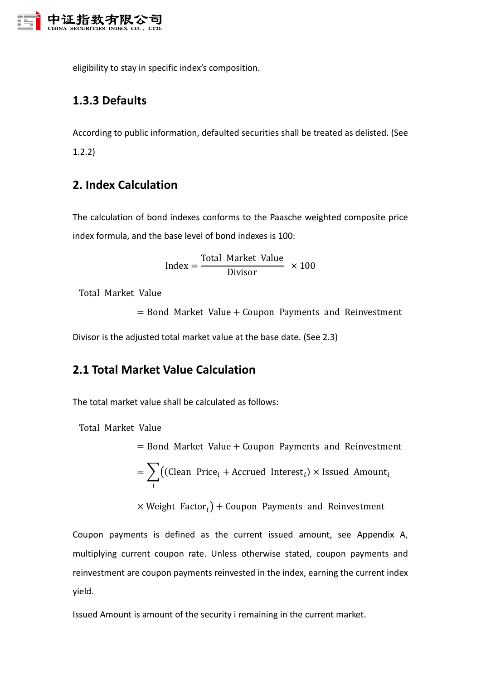

<span id="page-6-0"></span>eligibility to stay in specific index's composition.

# **1.3.3 Defaults**

According to public information, defaulted securities shall be treated as delisted. (See 1.2.2)

# <span id="page-6-1"></span>**2. Index Calculation**

The calculation of bond indexes conforms to the Paasche weighted composite price index formula, and the base level of bond indexes is 100:

$$
Index = \frac{Total Market Value}{Division} \times 100
$$

Total Market Value

 $=$  Bond Market Value  $+$  Coupon Payments and Reinvestment

<span id="page-6-2"></span>Divisor is the adjusted total market value at the base date. (See 2.3)

# **2.1 Total Market Value Calculation**

The total market value shall be calculated as follows:

Total Market Value

= Bond Market Value + Coupon Payments and Reinvestment  
= 
$$
\sum_{i} ((\text{clean Price}_{i} + \text{Accrued Interest}_{i}) \times \text{Israel Amount}_{i})
$$

 $\times$  Weight Factor<sub>i</sub>) + Coupon Payments and Reinvestment

Coupon payments is defined as the current issued amount, see Appendix A, multiplying current coupon rate. Unless otherwise stated, coupon payments and reinvestment are coupon payments reinvested in the index, earning the current index yield.

Issued Amount is amount of the security i remaining in the current market.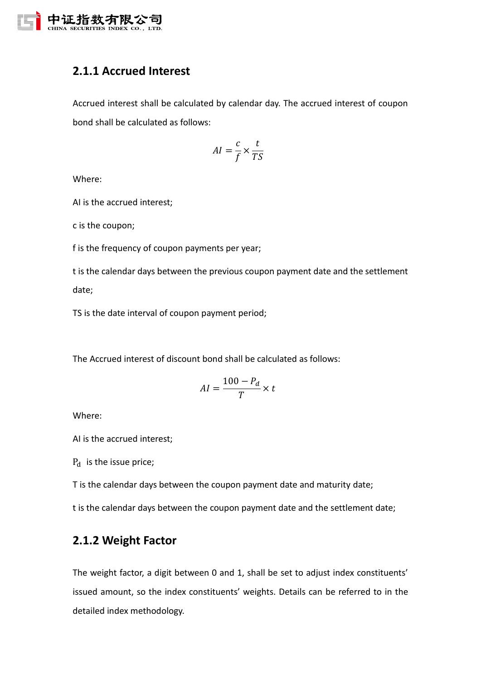

# <span id="page-7-0"></span>**2.1.1 Accrued Interest**

Accrued interest shall be calculated by calendar day. The accrued interest of coupon bond shall be calculated as follows:

$$
AI = \frac{c}{f} \times \frac{t}{TS}
$$

Where:

AI is the accrued interest;

c is the coupon;

f is the frequency of coupon payments per year;

t is the calendar days between the previous coupon payment date and the settlement date;

TS is the date interval of coupon payment period;

The Accrued interest of discount bond shall be calculated as follows:

$$
AI = \frac{100 - P_d}{T} \times t
$$

Where:

AI is the accrued interest;

 $P_d$  is the issue price;

T is the calendar days between the coupon payment date and maturity date;

<span id="page-7-1"></span>t is the calendar days between the coupon payment date and the settlement date;

# **2.1.2 Weight Factor**

The weight factor, a digit between 0 and 1, shall be set to adjust index constituents' issued amount, so the index constituents' weights. Details can be referred to in the detailed index methodology.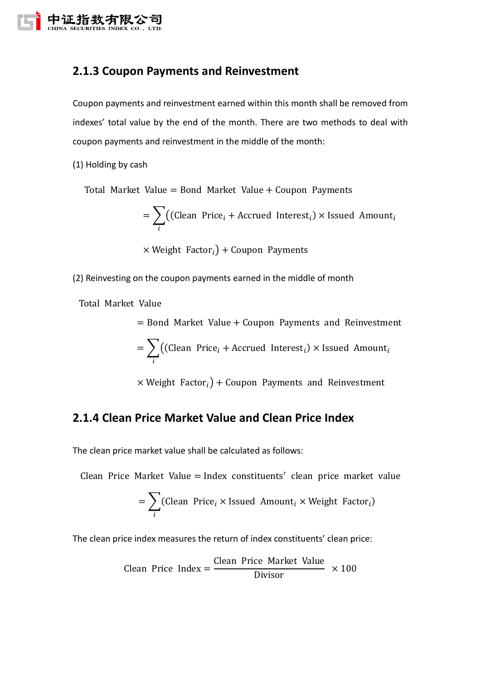

# <span id="page-8-0"></span>**2.1.3 Coupon Payments and Reinvestment**

Coupon payments and reinvestment earned within this month shall be removed from indexes' total value by the end of the month. There are two methods to deal with coupon payments and reinvestment in the middle of the month:

(1) Holding by cash

Total Market Value = Bond Market Value + Coupon Payments

$$
= \sum_{i} \bigl( \text{(clean Price}_i + \text{Accrued Interest}_i) \times \text{Israel Amount}_i
$$

 $\times$  Weight Factor<sub>i</sub>) + Coupon Payments

(2) Reinvesting on the coupon payments earned in the middle of month

Total Market Value

 $=$  Bond Market Value  $+$  Coupon Payments and Reinvestment  $=$   $\sum$  ((Clean Price<sub>i</sub> + Accrued Interest<sub>i</sub>)  $\times$  Issued Amount<sub>i</sub> i

 $\times$  Weight Factor<sub>i</sub>) + Coupon Payments and Reinvestment

# <span id="page-8-1"></span>**2.1.4 Clean Price Market Value and Clean Price Index**

The clean price market value shall be calculated as follows:

Clean Price Market Value = Index constituents′ clean price market value

$$
= \sum_{i} (Clean Price_i \times Israel Amount_i \times Weight Factor_i)
$$

The clean price index measures the return of index constituents' clean price:

$$
Clean Price Index = \frac{Clean Price Market Value}{Divisor} \times 100
$$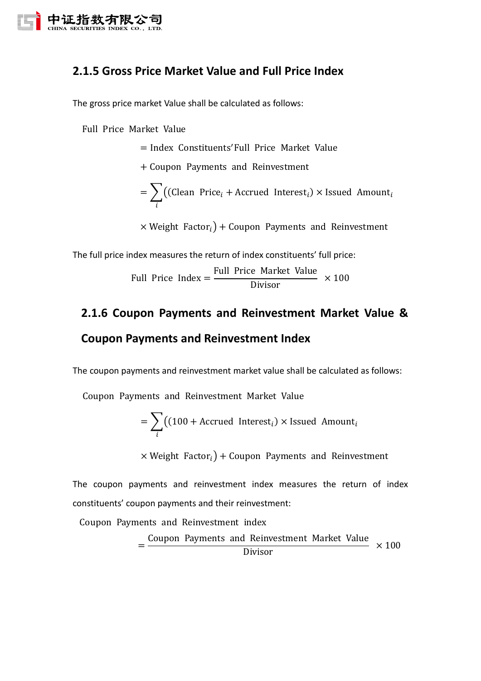

# <span id="page-9-0"></span>**2.1.5 Gross Price Market Value and Full Price Index**

The gross price market Value shall be calculated as follows:

Full Price Market Value

= Index Constituents′Full Price Market Value

+ Coupon Payments and Reinvestment

 $= \, \sum\, \big( ({\rm Clean \,\, Price}_i + {\rm Accrued \,\, Interest}_i) \times {\rm Issued \,\, Amount}_i \big)$ i

 $\times$  Weight Factor<sub>i</sub>) + Coupon Payments and Reinvestment

The full price index measures the return of index constituents' full price:

Full Price Index = 
$$
\frac{\text{Full Price Market Value}}{\text{Divisor}} \times 100
$$

# <span id="page-9-1"></span>**2.1.6 Coupon Payments and Reinvestment Market Value & Coupon Payments and Reinvestment Index**

The coupon payments and reinvestment market value shall be calculated as follows:

Coupon Payments and Reinvestment Market Value

$$
= \sum_{i} \left( (100 + \text{Accrued Interest}_{i}) \times \text{Is sued Amount}_{i} \right)
$$

 $\times$  Weight Factor<sub>i</sub>) + Coupon Payments and Reinvestment

The coupon payments and reinvestment index measures the return of index constituents' coupon payments and their reinvestment:

Coupon Payments and Reinvestment index

= Coupon Payments and Reinvestment Market Value Divisor  $\times$  100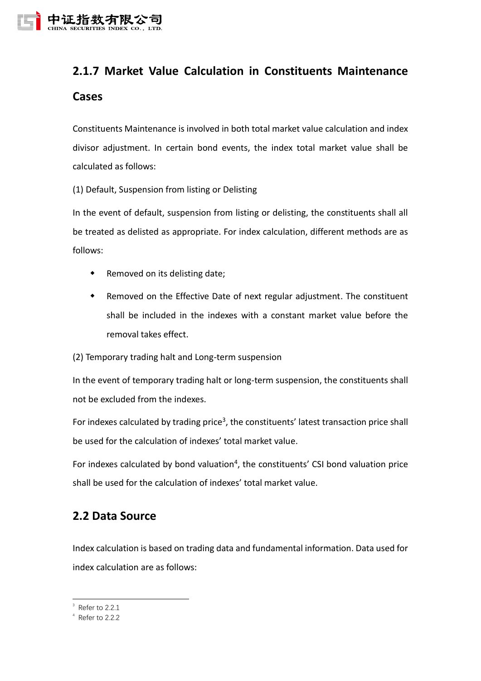

# <span id="page-10-0"></span>**2.1.7 Market Value Calculation in Constituents Maintenance Cases**

Constituents Maintenance is involved in both total market value calculation and index divisor adjustment. In certain bond events, the index total market value shall be calculated as follows:

(1) Default, Suspension from listing or Delisting

In the event of default, suspension from listing or delisting, the constituents shall all be treated as delisted as appropriate. For index calculation, different methods are as follows:

- Removed on its delisting date;
- Removed on the Effective Date of next regular adjustment. The constituent shall be included in the indexes with a constant market value before the removal takes effect.

(2) Temporary trading halt and Long-term suspension

In the event of temporary trading halt or long-term suspension, the constituents shall not be excluded from the indexes.

For indexes calculated by trading price<sup>3</sup>, the constituents' latest transaction price shall be used for the calculation of indexes' total market value.

For indexes calculated by bond valuation<sup>4</sup>, the constituents' CSI bond valuation price shall be used for the calculation of indexes' total market value.

# <span id="page-10-1"></span>**2.2 Data Source**

Index calculation is based on trading data and fundamental information. Data used for index calculation are as follows:

-

 $3$  Refer to 2.2.1

<sup>4</sup> Refer to 2.2.2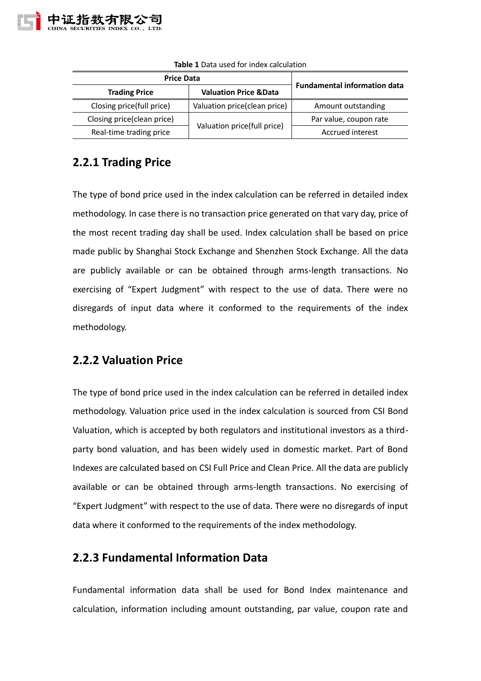

| <b>Price Data</b>          | <b>Fundamental information data</b> |                        |  |  |
|----------------------------|-------------------------------------|------------------------|--|--|
| <b>Trading Price</b>       | <b>Valuation Price &amp; Data</b>   |                        |  |  |
| Closing price(full price)  | Valuation price(clean price)        | Amount outstanding     |  |  |
| Closing price(clean price) |                                     | Par value, coupon rate |  |  |
| Real-time trading price    | Valuation price(full price)         | Accrued interest       |  |  |

**Table 1** Data used for index calculation

## <span id="page-11-0"></span>**2.2.1 Trading Price**

The type of bond price used in the index calculation can be referred in detailed index methodology. In case there is no transaction price generated on that vary day, price of the most recent trading day shall be used. Index calculation shall be based on price made public by Shanghai Stock Exchange and Shenzhen Stock Exchange. All the data are publicly available or can be obtained through arms-length transactions. No exercising of "Expert Judgment" with respect to the use of data. There were no disregards of input data where it conformed to the requirements of the index methodology.

## <span id="page-11-1"></span>**2.2.2 Valuation Price**

The type of bond price used in the index calculation can be referred in detailed index methodology. Valuation price used in the index calculation is sourced from CSI Bond Valuation, which is accepted by both regulators and institutional investors as a thirdparty bond valuation, and has been widely used in domestic market. Part of Bond Indexes are calculated based on CSI Full Price and Clean Price. All the data are publicly available or can be obtained through arms-length transactions. No exercising of "Expert Judgment" with respect to the use of data. There were no disregards of input data where it conformed to the requirements of the index methodology.

## <span id="page-11-2"></span>**2.2.3 Fundamental Information Data**

Fundamental information data shall be used for Bond Index maintenance and calculation, information including amount outstanding, par value, coupon rate and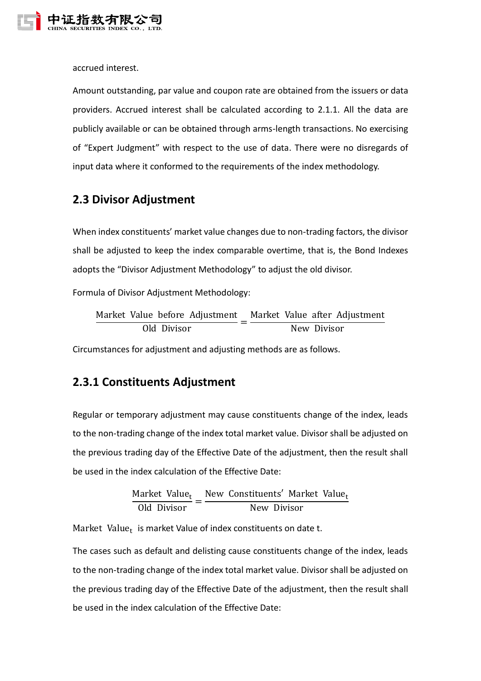

accrued interest.

Amount outstanding, par value and coupon rate are obtained from the issuers or data providers. Accrued interest shall be calculated according to 2.1.1. All the data are publicly available or can be obtained through arms-length transactions. No exercising of "Expert Judgment" with respect to the use of data. There were no disregards of input data where it conformed to the requirements of the index methodology.

## <span id="page-12-0"></span>**2.3 Divisor Adjustment**

When index constituents' market value changes due to non-trading factors, the divisor shall be adjusted to keep the index comparable overtime, that is, the Bond Indexes adopts the "Divisor Adjustment Methodology" to adjust the old divisor.

Formula of Divisor Adjustment Methodology:

Market Value before Adjustment  $\frac{1}{\text{Old Division}} =$ Market Value after Adjustment New Divisor

<span id="page-12-1"></span>Circumstances for adjustment and adjusting methods are as follows.

## **2.3.1 Constituents Adjustment**

Regular or temporary adjustment may cause constituents change of the index, leads to the non-trading change of the index total market value. Divisor shall be adjusted on the previous trading day of the Effective Date of the adjustment, then the result shall be used in the index calculation of the Effective Date:

> Market Value<sub>t</sub>  $\frac{1}{\text{Old Division}} =$ New Constituents' Market Value<sub>t</sub> New Divisor

Market Value<sub>t</sub> is market Value of index constituents on date t.

The cases such as default and delisting cause constituents change of the index, leads to the non-trading change of the index total market value. Divisor shall be adjusted on the previous trading day of the Effective Date of the adjustment, then the result shall be used in the index calculation of the Effective Date: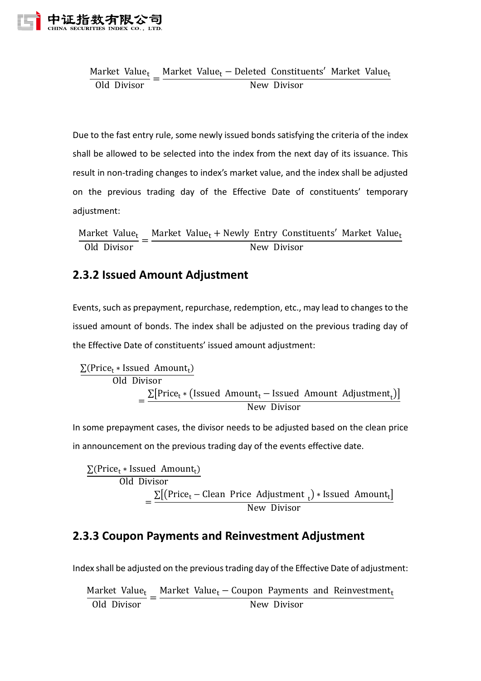

Market Value<sub>t</sub>  $\frac{\text{arcsec} \cdot \text{arcc}}{\text{Old Divisor}} =$ Market Value<sub>t</sub> − Deleted Constituents' Market Value<sub>t</sub> New Divisor

Due to the fast entry rule, some newly issued bonds satisfying the criteria of the index shall be allowed to be selected into the index from the next day of its issuance. This result in non-trading changes to index's market value, and the index shall be adjusted on the previous trading day of the Effective Date of constituents' temporary adjustment:

Market Value<sub>t</sub>  $\frac{\text{under value}}{\text{Old Divisor}} =$ Market Value<sub>t</sub> + Newly Entry Constituents' Market Value<sub>t</sub> New Divisor

# <span id="page-13-0"></span>**2.3.2 Issued Amount Adjustment**

Events, such as prepayment, repurchase, redemption, etc., may lead to changes to the issued amount of bonds. The index shall be adjusted on the previous trading day of the Effective Date of constituents' issued amount adjustment:

$$
\frac{\sum (Price_t * Issued \ Amount_t)}{Old \ Division} = \frac{\sum [Price_t * (Israel \ Amount_t - Issued \ Amount \ Addition_t)}{New \ Division}
$$

In some prepayment cases, the divisor needs to be adjusted based on the clean price in announcement on the previous trading day of the events effective date.

 $\Sigma$ (Price<sub>t</sub> \* Issued Amount<sub>t</sub>) Old Divisor  $=\frac{\sum[(Price_t - Clean Price Adjustment_t)* Issued Amount_t]}{News Poiseer}$ New Divisor

# <span id="page-13-1"></span>**2.3.3 Coupon Payments and Reinvestment Adjustment**

Index shall be adjusted on the previous trading day of the Effective Date of adjustment:

|             | Market Value <sub>t</sub> Market Value <sub>t</sub> – Coupon Payments and Reinvestment <sub>t</sub> |
|-------------|-----------------------------------------------------------------------------------------------------|
| Old Divisor | New Divisor                                                                                         |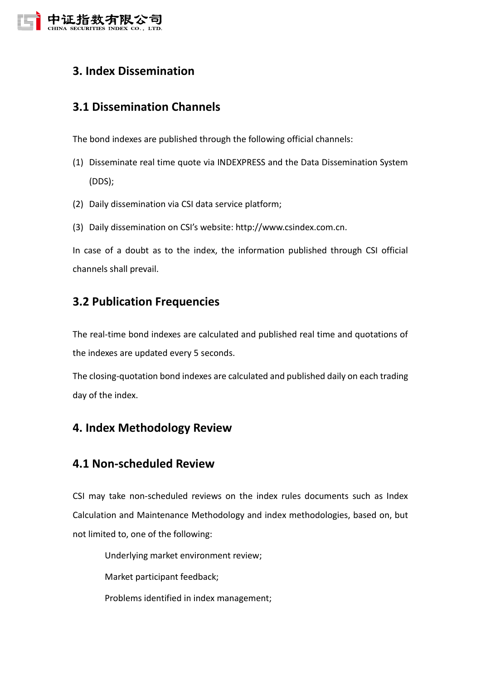

# <span id="page-14-0"></span>**3. Index Dissemination**

# <span id="page-14-1"></span>**3.1 Dissemination Channels**

The bond indexes are published through the following official channels:

- (1) Disseminate real time quote via INDEXPRESS and the Data Dissemination System (DDS);
- (2) Daily dissemination via CSI data service platform;
- (3) Daily dissemination on CSI's website: http://www.csindex.com.cn.

In case of a doubt as to the index, the information published through CSI official channels shall prevail.

# <span id="page-14-2"></span>**3.2 Publication Frequencies**

The real-time bond indexes are calculated and published real time and quotations of the indexes are updated every 5 seconds.

The closing-quotation bond indexes are calculated and published daily on each trading day of the index.

# <span id="page-14-3"></span>**4. Index Methodology Review**

#### <span id="page-14-4"></span>**4.1 Non-scheduled Review**

CSI may take non-scheduled reviews on the index rules documents such as Index Calculation and Maintenance Methodology and index methodologies, based on, but not limited to, one of the following:

Underlying market environment review;

Market participant feedback;

Problems identified in index management;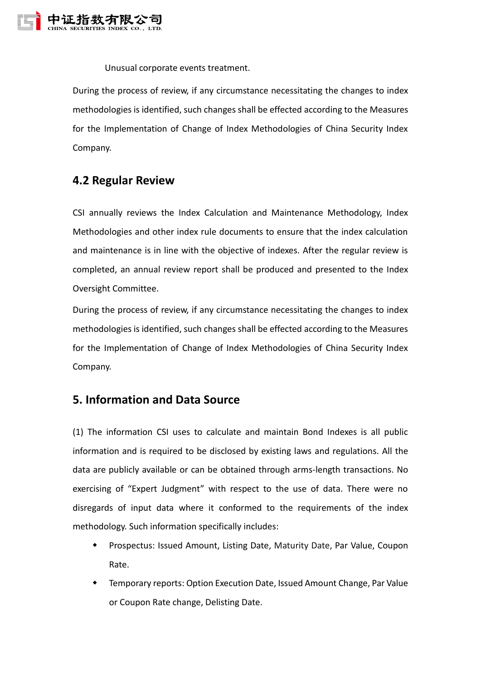

Unusual corporate events treatment.

During the process of review, if any circumstance necessitating the changes to index methodologies is identified, such changes shall be effected according to the Measures for the Implementation of Change of Index Methodologies of China Security Index Company.

#### <span id="page-15-0"></span>**4.2 Regular Review**

CSI annually reviews the Index Calculation and Maintenance Methodology, Index Methodologies and other index rule documents to ensure that the index calculation and maintenance is in line with the objective of indexes. After the regular review is completed, an annual review report shall be produced and presented to the Index Oversight Committee.

During the process of review, if any circumstance necessitating the changes to index methodologies is identified, such changes shall be effected according to the Measures for the Implementation of Change of Index Methodologies of China Security Index Company.

#### <span id="page-15-1"></span>**5. Information and Data Source**

(1) The information CSI uses to calculate and maintain Bond Indexes is all public information and is required to be disclosed by existing laws and regulations. All the data are publicly available or can be obtained through arms-length transactions. No exercising of "Expert Judgment" with respect to the use of data. There were no disregards of input data where it conformed to the requirements of the index methodology. Such information specifically includes:

- Prospectus: Issued Amount, Listing Date, Maturity Date, Par Value, Coupon Rate.
- Temporary reports: Option Execution Date, Issued Amount Change, Par Value or Coupon Rate change, Delisting Date.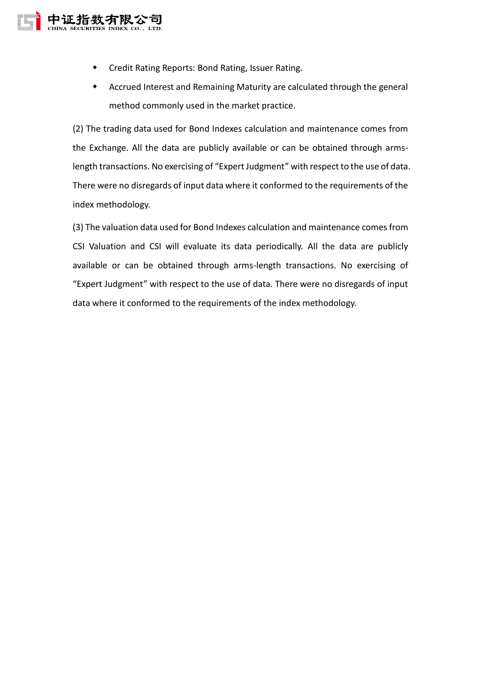

- Credit Rating Reports: Bond Rating, Issuer Rating.
- Accrued Interest and Remaining Maturity are calculated through the general method commonly used in the market practice.

(2) The trading data used for Bond Indexes calculation and maintenance comes from the Exchange. All the data are publicly available or can be obtained through armslength transactions. No exercising of "Expert Judgment" with respect to the use of data. There were no disregards of input data where it conformed to the requirements of the index methodology.

(3) The valuation data used for Bond Indexes calculation and maintenance comes from CSI Valuation and CSI will evaluate its data periodically. All the data are publicly available or can be obtained through arms-length transactions. No exercising of "Expert Judgment" with respect to the use of data. There were no disregards of input data where it conformed to the requirements of the index methodology.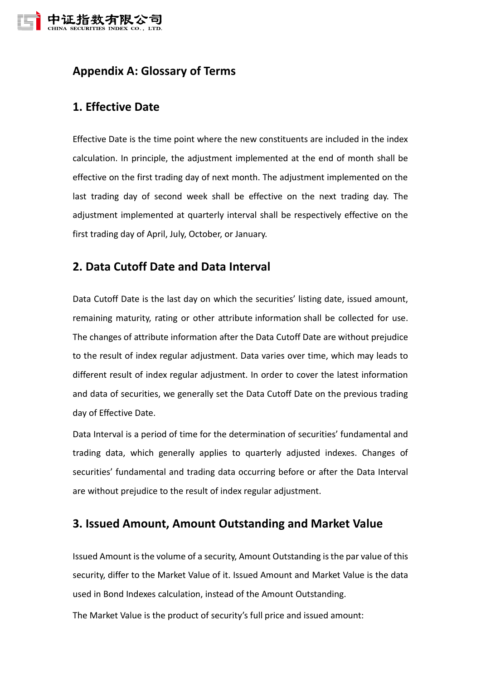

# <span id="page-17-0"></span>**Appendix A: Glossary of Terms**

# <span id="page-17-1"></span>**1. Effective Date**

Effective Date is the time point where the new constituents are included in the index calculation. In principle, the adjustment implemented at the end of month shall be effective on the first trading day of next month. The adjustment implemented on the last trading day of second week shall be effective on the next trading day. The adjustment implemented at quarterly interval shall be respectively effective on the first trading day of April, July, October, or January.

# <span id="page-17-2"></span>**2. Data Cutoff Date and Data Interval**

Data Cutoff Date is the last day on which the securities' listing date, issued amount, remaining maturity, rating or other attribute information shall be collected for use. The changes of attribute information after the Data Cutoff Date are without prejudice to the result of index regular adjustment. Data varies over time, which may leads to different result of index regular adjustment. In order to cover the latest information and data of securities, we generally set the Data Cutoff Date on the previous trading day of Effective Date.

Data Interval is a period of time for the determination of securities' fundamental and trading data, which generally applies to quarterly adjusted indexes. Changes of securities' fundamental and trading data occurring before or after the Data Interval are without prejudice to the result of index regular adjustment.

## <span id="page-17-3"></span>**3. Issued Amount, Amount Outstanding and Market Value**

Issued Amount is the volume of a security, Amount Outstanding is the par value of this security, differ to the Market Value of it. Issued Amount and Market Value is the data used in Bond Indexes calculation, instead of the Amount Outstanding.

The Market Value is the product of security's full price and issued amount: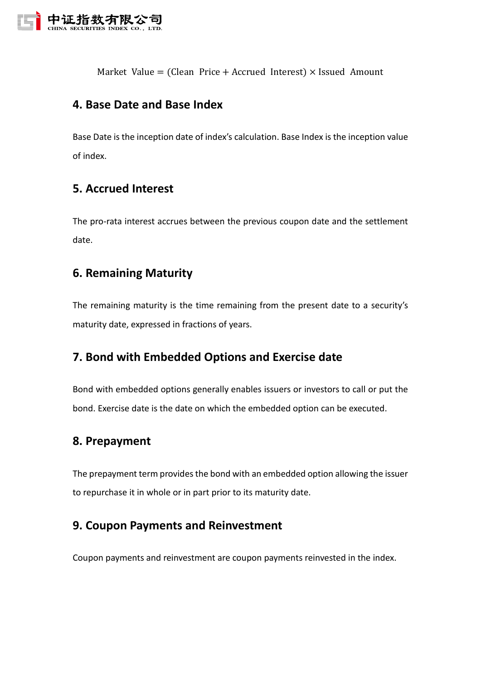

Market Value = (Clean Price + Accrued Interest)  $\times$  Issued Amount

# <span id="page-18-0"></span>**4. Base Date and Base Index**

Base Date is the inception date of index's calculation. Base Index is the inception value of index.

# <span id="page-18-1"></span>**5. Accrued Interest**

The pro-rata interest accrues between the previous coupon date and the settlement date.

# <span id="page-18-2"></span>**6. Remaining Maturity**

The remaining maturity is the time remaining from the present date to a security's maturity date, expressed in fractions of years.

# <span id="page-18-3"></span>**7. Bond with Embedded Options and Exercise date**

Bond with embedded options generally enables issuers or investors to call or put the bond. Exercise date is the date on which the embedded option can be executed.

# <span id="page-18-4"></span>**8. Prepayment**

The prepayment term provides the bond with an embedded option allowing the issuer to repurchase it in whole or in part prior to its maturity date.

# <span id="page-18-5"></span>**9. Coupon Payments and Reinvestment**

Coupon payments and reinvestment are coupon payments reinvested in the index.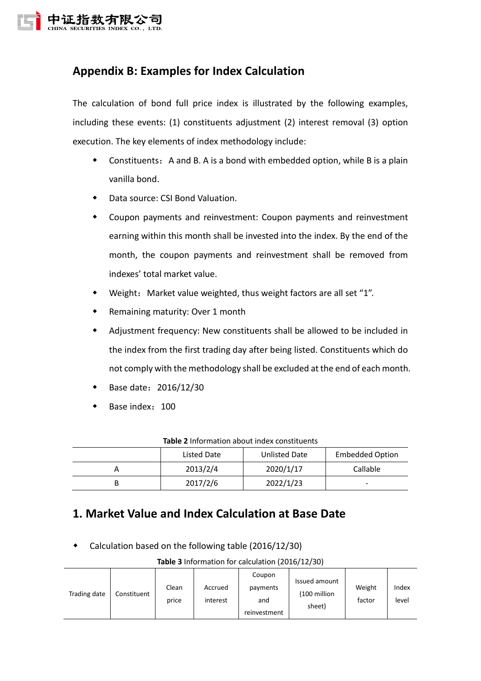

# <span id="page-19-0"></span>**Appendix B: Examples for Index Calculation**

The calculation of bond full price index is illustrated by the following examples, including these events: (1) constituents adjustment (2) interest removal (3) option execution. The key elements of index methodology include:

- $\bullet$  Constituents: A and B. A is a bond with embedded option, while B is a plain vanilla bond.
- Data source: CSI Bond Valuation.
- Coupon payments and reinvestment: Coupon payments and reinvestment earning within this month shall be invested into the index. By the end of the month, the coupon payments and reinvestment shall be removed from indexes' total market value.
- Weight: Market value weighted, thus weight factors are all set "1".
- Remaining maturity: Over 1 month
- Adjustment frequency: New constituents shall be allowed to be included in the index from the first trading day after being listed. Constituents which do not comply with the methodology shall be excluded at the end of each month.
- Base date:2016/12/30
- Base index: 100

| Listed Date | <b>Unlisted Date</b> | <b>Embedded Option</b>   |
|-------------|----------------------|--------------------------|
| 2013/2/4    | 2020/1/17            | Callable                 |
| 2017/2/6    | 2022/1/23            | $\overline{\phantom{0}}$ |

#### **Table 2** Information about index constituents

# <span id="page-19-1"></span>**1. Market Value and Index Calculation at Base Date**

Calculation based on the following table (2016/12/30)

**Table 3** Information for calculation (2016/12/30)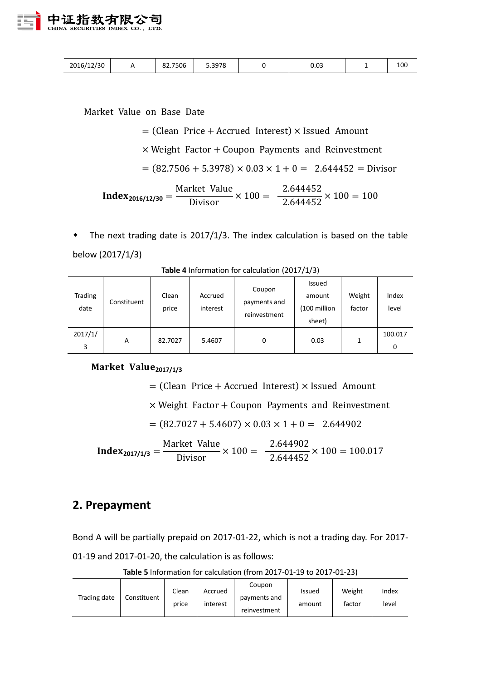

| 2016/12/30 |  | 82.7506<br>$\circ$ | 5.3978 |  | 0.03 |  | 100 |
|------------|--|--------------------|--------|--|------|--|-----|
|------------|--|--------------------|--------|--|------|--|-----|

Market Value on Base Date

 $=$  (Clean Price + Accrued Interest)  $\times$  Issued Amount  $\times$  Weight Factor + Coupon Payments and Reinvestment  $= (82.7506 + 5.3978) \times 0.03 \times 1 + 0 = 2.644452 = \text{Divisor}$  $Index_{2016/12/30} =$ Market Value Divisor  $\times$  100  $=$ 2.644452  $\frac{2.644452}{2.644452} \times 100 = 100$ 

 The next trading date is 2017/1/3. The index calculation is based on the table below (2017/1/3)

| Trading<br>date | Constituent | Clean<br>price | Accrued<br>interest | Coupon<br>payments and<br>reinvestment | Issued<br>amount<br>(100 million<br>sheet) | Weight<br>factor | Index<br>level |
|-----------------|-------------|----------------|---------------------|----------------------------------------|--------------------------------------------|------------------|----------------|
| 2017/1/<br>3    | A           | 82.7027        | 5.4607              | 0                                      | 0.03                                       |                  | 100.017<br>0   |

**Table 4** Information for calculation (2017/1/3)

#### Market Value<sub>2017/1/3</sub>

 $=$  (Clean Price + Accrued Interest)  $\times$  Issued Amount

 $\times$  Weight Factor + Coupon Payments and Reinvestment

 $= (82.7027 + 5.4607) \times 0.03 \times 1 + 0 = 2.644902$ 

**Index**<sub>2017/1/3</sub> = 
$$
\frac{\text{Market Value}}{\text{Divisor}} \times 100 = \frac{2.644902}{2.644452} \times 100 = 100.017
$$

#### <span id="page-20-0"></span>**2. Prepayment**

Bond A will be partially prepaid on 2017-01-22, which is not a trading day. For 2017- 01-19 and 2017-01-20, the calculation is as follows:

**Table 5** Information for calculation (from 2017-01-19 to 2017-01-23)

| Trading date | Constituent | Clean<br>price | Accrued<br>interest | Coupon<br>payments and<br>reinvestment | <b>Issued</b><br>amount | Weight<br>factor | Index<br>level |
|--------------|-------------|----------------|---------------------|----------------------------------------|-------------------------|------------------|----------------|
|--------------|-------------|----------------|---------------------|----------------------------------------|-------------------------|------------------|----------------|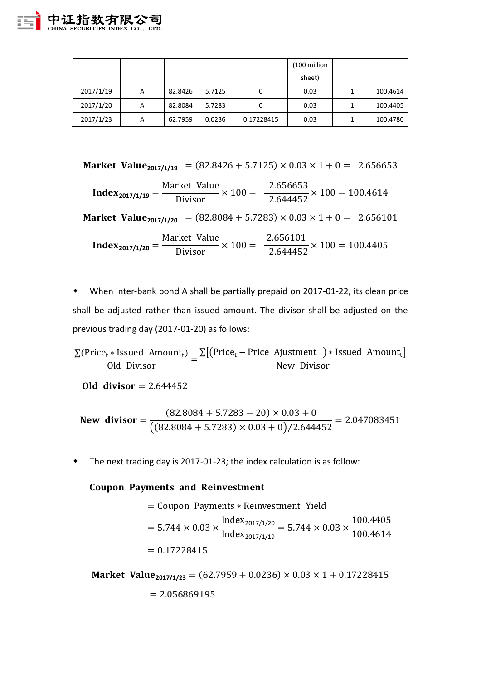|           |   |         |        |            | (100 million |          |
|-----------|---|---------|--------|------------|--------------|----------|
|           |   |         |        |            | sheet)       |          |
| 2017/1/19 | A | 82.8426 | 5.7125 | 0          | 0.03         | 100.4614 |
| 2017/1/20 | A | 82.8084 | 5.7283 | 0          | 0.03         | 100.4405 |
| 2017/1/23 | A | 62.7959 | 0.0236 | 0.17228415 | 0.03         | 100.4780 |

Market Value<sub>2017/1/19</sub> = 
$$
(82.8426 + 5.7125) \times 0.03 \times 1 + 0 = 2.656653
$$

**Index**<sub>2017/1/19</sub> = 
$$
\frac{\text{Market Value}}{\text{Divisor}} \times 100 = \frac{2.656653}{2.644452} \times 100 = 100.4614
$$

**Market Value**<sub>2017/1/20</sub> = (82.8084 + 5.7283)  $\times$  0.03  $\times$  1 + 0 = 2.656101

**Index<sub>2017/1/20</sub>** = Market Value Divisor  $\times$  100  $=$ 2.656101  $\frac{2.6662222}{2.644452} \times 100 = 100.4405$ 

 When inter-bank bond A shall be partially prepaid on 2017-01-22, its clean price shall be adjusted rather than issued amount. The divisor shall be adjusted on the previous trading day (2017-01-20) as follows:

$$
\frac{\sum (Price_t * Issued \ Amount_t)}{Old \ Division} = \frac{\sum [(Price_t - Price \ Ajustment_t) * Issued \ Amount_t]}{New \ Divisor}
$$

*Old divisor* =  $2.644452$ 

New divisor 
$$
=
$$
 
$$
\frac{(82.8084 + 5.7283 - 20) \times 0.03 + 0}{((82.8084 + 5.7283) \times 0.03 + 0)/2.644452} = 2.047083451
$$

The next trading day is 2017-01-23; the index calculation is as follow:

#### **Coupon Payments and Reinvestment**

= Coupon Payments \* Reinvestment Yield  
= 
$$
5.744 \times 0.03 \times \frac{\text{Index}_{2017/1/20}}{\text{Index}_{2017/1/19}} = 5.744 \times 0.03 \times \frac{100.4405}{100.4614}
$$
  
= 0.17228415

**Market Value**<sub>2017/1/23</sub> = (62.7959 + 0.0236)  $\times$  0.03  $\times$  1 + 0.17228415  $= 2.056869195$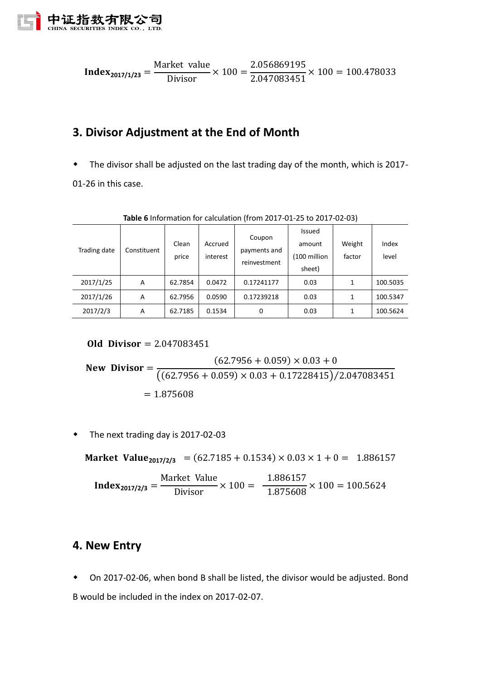

$$
Index_{2017/1/23} = \frac{\text{Market value}}{\text{Divisor}} \times 100 = \frac{2.056869195}{2.047083451} \times 100 = 100.478033
$$

# <span id="page-22-0"></span>**3. Divisor Adjustment at the End of Month**

The divisor shall be adjusted on the last trading day of the month, which is 2017-

01-26 in this case.

| Trading date | Constituent | Clean<br>price | Accrued<br>interest | Coupon<br>payments and<br>reinvestment | <b>Issued</b><br>amount<br>(100 million<br>sheet) | Weight<br>factor | Index<br>level |
|--------------|-------------|----------------|---------------------|----------------------------------------|---------------------------------------------------|------------------|----------------|
| 2017/1/25    | A           | 62.7854        | 0.0472              | 0.17241177                             | 0.03                                              | 1                | 100.5035       |
| 2017/1/26    | A           | 62.7956        | 0.0590              | 0.17239218                             | 0.03                                              | 1                | 100.5347       |
| 2017/2/3     | A           | 62.7185        | 0.1534              | 0                                      | 0.03                                              | 1                | 100.5624       |

**Table 6** Information for calculation (from 2017-01-25 to 2017-02-03)

**Old Divisor** =  $2.047083451$ 

New Division = 
$$
\frac{(62.7956 + 0.059) \times 0.03 + 0}{((62.7956 + 0.059) \times 0.03 + 0.17228415)/2.047083451}
$$
  
= 1.875608

• The next trading day is 2017-02-03

**Market Value**<sub>2017/2/3</sub> = (62.7185 + 0.1534)  $\times$  0.03  $\times$  1 + 0 = 1.886157

$$
Index_{2017/2/3} = \frac{\text{Market Value}}{\text{Divisor}} \times 100 = \frac{1.886157}{1.875608} \times 100 = 100.5624
$$

### <span id="page-22-1"></span>**4. New Entry**

 On 2017-02-06, when bond B shall be listed, the divisor would be adjusted. Bond B would be included in the index on 2017-02-07.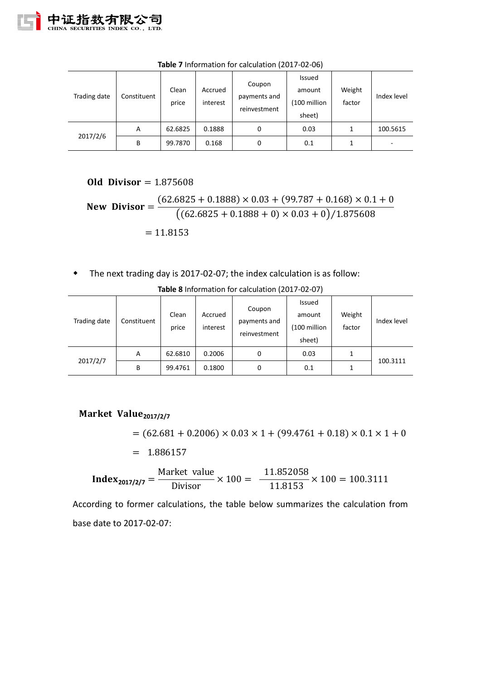| Trading date | Constituent | Clean<br>price | Accrued<br>interest | Coupon<br>payments and<br>reinvestment | Issued<br>amount<br>(100 million<br>sheet) | Weight<br>factor | Index level |
|--------------|-------------|----------------|---------------------|----------------------------------------|--------------------------------------------|------------------|-------------|
|              | A           | 62.6825        | 0.1888              | 0                                      | 0.03                                       |                  | 100.5615    |
| 2017/2/6     | B           | 99.7870        | 0.168               | 0                                      | 0.1                                        |                  |             |

**Table 7** Information for calculation (2017-02-06)

**Old Divisor** =  $1.875608$ 

New Division = 
$$
\frac{(62.6825 + 0.1888) \times 0.03 + (99.787 + 0.168) \times 0.1 + 0}{((62.6825 + 0.1888 + 0) \times 0.03 + 0)/1.875608}
$$

$$
= 11.8153
$$

The next trading day is 2017-02-07; the index calculation is as follow:

| Trading date | Constituent | Clean<br>price | Accrued<br>interest | Coupon<br>payments and<br>reinvestment | Issued<br>amount<br>(100 million<br>sheet) | Weight<br>factor | Index level |
|--------------|-------------|----------------|---------------------|----------------------------------------|--------------------------------------------|------------------|-------------|
| 2017/2/7     | A           | 62.6810        | 0.2006              | 0                                      | 0.03                                       | 1                | 100.3111    |
|              | В           | 99.4761        | 0.1800              | 0                                      | 0.1                                        |                  |             |

**Table 8** Information for calculation (2017-02-07)

### **Market Value**<sub>2017/2/7</sub>

 $= (62.681 + 0.2006) \times 0.03 \times 1 + (99.4761 + 0.18) \times 0.1 \times 1 + 0$ 

 $= 1.886157$ 

$$
Index_{2017/2/7} = \frac{\text{Market value}}{\text{Divisor}} \times 100 = \frac{11.852058}{11.8153} \times 100 = 100.3111
$$

According to former calculations, the table below summarizes the calculation from base date to 2017-02-07: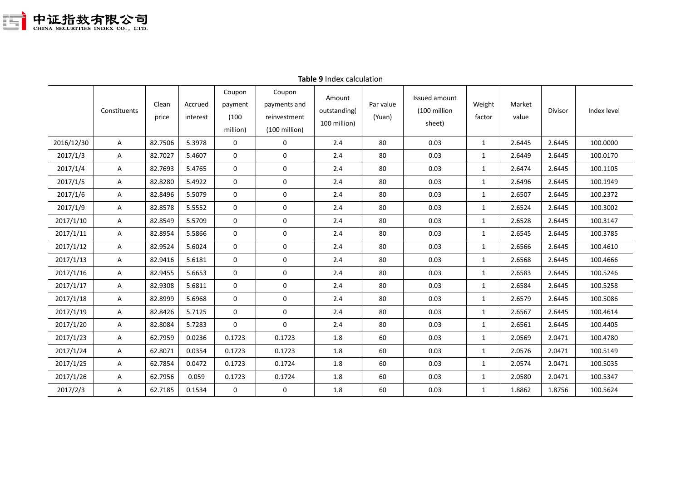

|            | Constituents | Clean<br>price | Accrued<br>interest | Coupon<br>payment<br>(100)<br>million) | Coupon<br>payments and<br>reinvestment<br>$(100 \text{ million})$ | Amount<br>outstanding(<br>100 million) | Par value<br>(Yuan) | Issued amount<br>(100 million<br>sheet) | Weight<br>factor | Market<br>value | Divisor | Index level |
|------------|--------------|----------------|---------------------|----------------------------------------|-------------------------------------------------------------------|----------------------------------------|---------------------|-----------------------------------------|------------------|-----------------|---------|-------------|
| 2016/12/30 | A            | 82.7506        | 5.3978              | 0                                      | 0                                                                 | 2.4                                    | 80                  | 0.03                                    | $\mathbf{1}$     | 2.6445          | 2.6445  | 100.0000    |
| 2017/1/3   | Α            | 82.7027        | 5.4607              | 0                                      | $\mathbf 0$                                                       | 2.4                                    | 80                  | 0.03                                    | 1                | 2.6449          | 2.6445  | 100.0170    |
| 2017/1/4   | Α            | 82.7693        | 5.4765              | 0                                      | 0                                                                 | 2.4                                    | 80                  | 0.03                                    | 1                | 2.6474          | 2.6445  | 100.1105    |
| 2017/1/5   | A            | 82.8280        | 5.4922              | 0                                      | 0                                                                 | 2.4                                    | 80                  | 0.03                                    | $\mathbf{1}$     | 2.6496          | 2.6445  | 100.1949    |
| 2017/1/6   | A            | 82.8496        | 5.5079              | $\mathbf 0$                            | $\mathbf 0$                                                       | 2.4                                    | 80                  | 0.03                                    | 1                | 2.6507          | 2.6445  | 100.2372    |
| 2017/1/9   | Α            | 82.8578        | 5.5552              | $\mathbf 0$                            | $\mathbf 0$                                                       | 2.4                                    | 80                  | 0.03                                    | $\mathbf{1}$     | 2.6524          | 2.6445  | 100.3002    |
| 2017/1/10  | A            | 82.8549        | 5.5709              | 0                                      | $\mathbf 0$                                                       | 2.4                                    | 80                  | 0.03                                    | $\mathbf{1}$     | 2.6528          | 2.6445  | 100.3147    |
| 2017/1/11  | A            | 82.8954        | 5.5866              | $\mathbf 0$                            | $\mathbf 0$                                                       | 2.4                                    | 80                  | 0.03                                    | $\mathbf{1}$     | 2.6545          | 2.6445  | 100.3785    |
| 2017/1/12  | A            | 82.9524        | 5.6024              | $\mathbf 0$                            | $\mathbf 0$                                                       | 2.4                                    | 80                  | 0.03                                    | $\mathbf{1}$     | 2.6566          | 2.6445  | 100.4610    |
| 2017/1/13  | Α            | 82.9416        | 5.6181              | $\mathbf 0$                            | $\mathbf 0$                                                       | 2.4                                    | 80                  | 0.03                                    | $\mathbf{1}$     | 2.6568          | 2.6445  | 100.4666    |
| 2017/1/16  | Α            | 82.9455        | 5.6653              | 0                                      | 0                                                                 | 2.4                                    | 80                  | 0.03                                    | 1                | 2.6583          | 2.6445  | 100.5246    |
| 2017/1/17  | A            | 82.9308        | 5.6811              | 0                                      | $\mathbf 0$                                                       | 2.4                                    | 80                  | 0.03                                    | $\mathbf{1}$     | 2.6584          | 2.6445  | 100.5258    |
| 2017/1/18  | A            | 82.8999        | 5.6968              | $\mathbf 0$                            | $\boldsymbol{0}$                                                  | 2.4                                    | 80                  | 0.03                                    | $\mathbf{1}$     | 2.6579          | 2.6445  | 100.5086    |
| 2017/1/19  | A            | 82.8426        | 5.7125              | $\mathbf 0$                            | $\mathbf 0$                                                       | 2.4                                    | 80                  | 0.03                                    | $\mathbf{1}$     | 2.6567          | 2.6445  | 100.4614    |
| 2017/1/20  | A            | 82.8084        | 5.7283              | $\mathbf 0$                            | $\boldsymbol{0}$                                                  | 2.4                                    | 80                  | 0.03                                    | 1                | 2.6561          | 2.6445  | 100.4405    |
| 2017/1/23  | Α            | 62.7959        | 0.0236              | 0.1723                                 | 0.1723                                                            | 1.8                                    | 60                  | 0.03                                    | 1                | 2.0569          | 2.0471  | 100.4780    |
| 2017/1/24  | A            | 62.8071        | 0.0354              | 0.1723                                 | 0.1723                                                            | 1.8                                    | 60                  | 0.03                                    | $\mathbf{1}$     | 2.0576          | 2.0471  | 100.5149    |
| 2017/1/25  | A            | 62.7854        | 0.0472              | 0.1723                                 | 0.1724                                                            | $1.8\,$                                | 60                  | 0.03                                    | 1                | 2.0574          | 2.0471  | 100.5035    |
| 2017/1/26  | A            | 62.7956        | 0.059               | 0.1723                                 | 0.1724                                                            | $1.8\,$                                | 60                  | 0.03                                    | 1                | 2.0580          | 2.0471  | 100.5347    |
| 2017/2/3   | A            | 62.7185        | 0.1534              | 0                                      | 0                                                                 | 1.8                                    | 60                  | 0.03                                    | 1                | 1.8862          | 1.8756  | 100.5624    |

#### **Table 9** Index calculation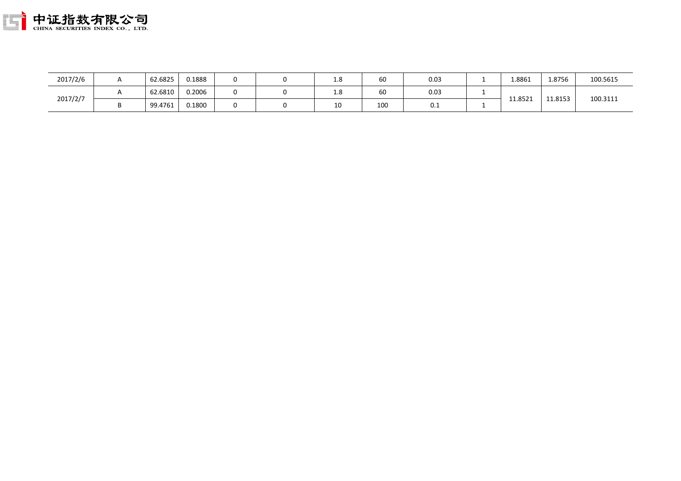

| 2017/2/6 | 62.6825 | 0.1888 |  | T.O | 60  | 0.03 | 1.8861  | 1.8756  | 100.5615 |
|----------|---------|--------|--|-----|-----|------|---------|---------|----------|
|          | 62.6810 | 0.2006 |  | T.O | 60  | 0.03 |         | 11.8153 | 100.3111 |
| 2017/2/7 | 99.4761 | 0.1800 |  | 10  | 100 | 0.1  | 11.8521 |         |          |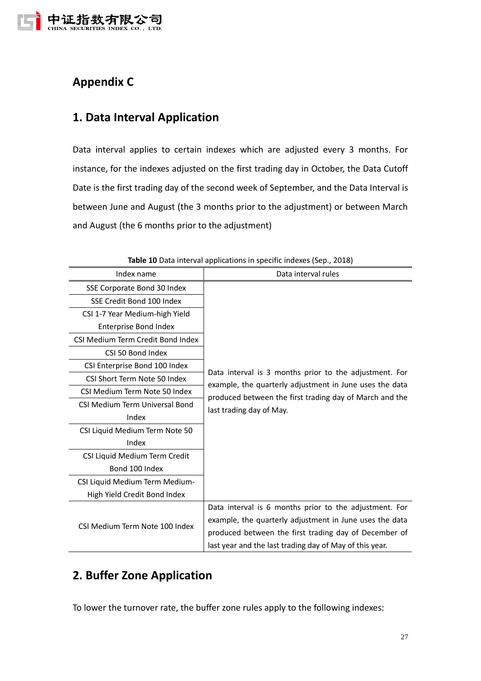

# <span id="page-26-0"></span>**Appendix C**

# <span id="page-26-1"></span>**1. Data Interval Application**

Data interval applies to certain indexes which are adjusted every 3 months. For instance, for the indexes adjusted on the first trading day in October, the Data Cutoff Date is the first trading day of the second week of September, and the Data Interval is between June and August (the 3 months prior to the adjustment) or between March and August (the 6 months prior to the adjustment)

| Index name                            | Data interval rules                                                                                                                                                                                                                   |  |  |  |  |  |
|---------------------------------------|---------------------------------------------------------------------------------------------------------------------------------------------------------------------------------------------------------------------------------------|--|--|--|--|--|
| SSE Corporate Bond 30 Index           |                                                                                                                                                                                                                                       |  |  |  |  |  |
| SSE Credit Bond 100 Index             |                                                                                                                                                                                                                                       |  |  |  |  |  |
| CSI 1-7 Year Medium-high Yield        |                                                                                                                                                                                                                                       |  |  |  |  |  |
| <b>Enterprise Bond Index</b>          |                                                                                                                                                                                                                                       |  |  |  |  |  |
| CSI Medium Term Credit Bond Index     |                                                                                                                                                                                                                                       |  |  |  |  |  |
| CSI 50 Bond Index                     |                                                                                                                                                                                                                                       |  |  |  |  |  |
| CSI Enterprise Bond 100 Index         |                                                                                                                                                                                                                                       |  |  |  |  |  |
| CSI Short Term Note 50 Index          | Data interval is 3 months prior to the adjustment. For<br>example, the quarterly adjustment in June uses the data<br>produced between the first trading day of March and the                                                          |  |  |  |  |  |
| CSI Medium Term Note 50 Index         |                                                                                                                                                                                                                                       |  |  |  |  |  |
| <b>CSI Medium Term Universal Bond</b> | last trading day of May.                                                                                                                                                                                                              |  |  |  |  |  |
| Index                                 |                                                                                                                                                                                                                                       |  |  |  |  |  |
| CSI Liquid Medium Term Note 50        |                                                                                                                                                                                                                                       |  |  |  |  |  |
| Index                                 |                                                                                                                                                                                                                                       |  |  |  |  |  |
| CSI Liquid Medium Term Credit         |                                                                                                                                                                                                                                       |  |  |  |  |  |
| Bond 100 Index                        |                                                                                                                                                                                                                                       |  |  |  |  |  |
| CSI Liquid Medium Term Medium-        |                                                                                                                                                                                                                                       |  |  |  |  |  |
| High Yield Credit Bond Index          |                                                                                                                                                                                                                                       |  |  |  |  |  |
| CSI Medium Term Note 100 Index        | Data interval is 6 months prior to the adjustment. For<br>example, the quarterly adjustment in June uses the data<br>produced between the first trading day of December of<br>last year and the last trading day of May of this year. |  |  |  |  |  |

**Table 10** Data interval applications in specific indexes (Sep., 2018)

# <span id="page-26-2"></span>**2. Buffer Zone Application**

To lower the turnover rate, the buffer zone rules apply to the following indexes: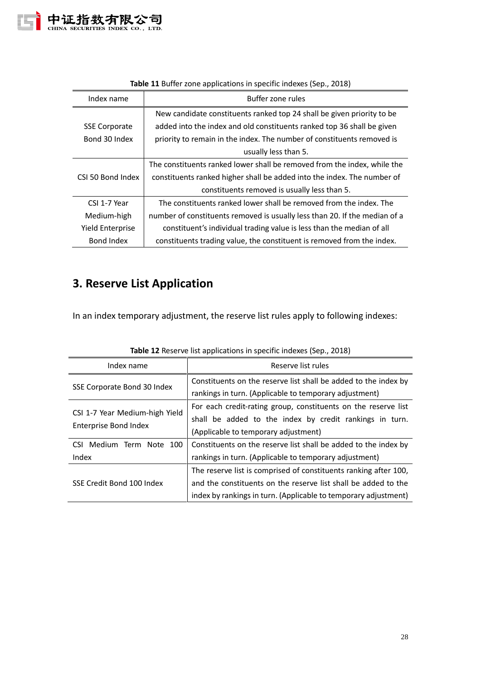

| Index name           | Buffer zone rules                                                          |
|----------------------|----------------------------------------------------------------------------|
|                      | New candidate constituents ranked top 24 shall be given priority to be     |
| <b>SSE Corporate</b> | added into the index and old constituents ranked top 36 shall be given     |
| Bond 30 Index        | priority to remain in the index. The number of constituents removed is     |
|                      | usually less than 5.                                                       |
|                      | The constituents ranked lower shall be removed from the index, while the   |
| CSI 50 Bond Index    | constituents ranked higher shall be added into the index. The number of    |
|                      | constituents removed is usually less than 5.                               |
| CSI 1-7 Year         | The constituents ranked lower shall be removed from the index. The         |
| Medium-high          | number of constituents removed is usually less than 20. If the median of a |
| Yield Enterprise     | constituent's individual trading value is less than the median of all      |
| Bond Index           | constituents trading value, the constituent is removed from the index.     |

#### **Table 11** Buffer zone applications in specific indexes (Sep., 2018)

# <span id="page-27-0"></span>**3. Reserve List Application**

In an index temporary adjustment, the reserve list rules apply to following indexes:

| Index name                     | Reserve list rules                                                                                                        |  |  |  |  |
|--------------------------------|---------------------------------------------------------------------------------------------------------------------------|--|--|--|--|
| SSE Corporate Bond 30 Index    | Constituents on the reserve list shall be added to the index by<br>rankings in turn. (Applicable to temporary adjustment) |  |  |  |  |
| CSI 1-7 Year Medium-high Yield | For each credit-rating group, constituents on the reserve list<br>shall be added to the index by credit rankings in turn. |  |  |  |  |
| <b>Enterprise Bond Index</b>   | (Applicable to temporary adjustment)                                                                                      |  |  |  |  |
| CSI Medium Term Note 100       | Constituents on the reserve list shall be added to the index by                                                           |  |  |  |  |
| Index                          | rankings in turn. (Applicable to temporary adjustment)                                                                    |  |  |  |  |
|                                | The reserve list is comprised of constituents ranking after 100,                                                          |  |  |  |  |
| SSE Credit Bond 100 Index      | and the constituents on the reserve list shall be added to the                                                            |  |  |  |  |
|                                | index by rankings in turn. (Applicable to temporary adjustment)                                                           |  |  |  |  |

|  |  | Table 12 Reserve list applications in specific indexes (Sep., 2018) |  |
|--|--|---------------------------------------------------------------------|--|
|--|--|---------------------------------------------------------------------|--|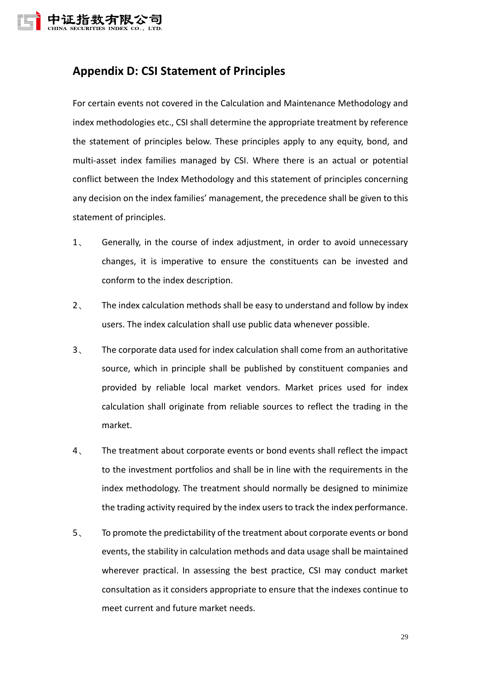

# <span id="page-28-0"></span>**Appendix D: CSI Statement of Principles**

For certain events not covered in the Calculation and Maintenance Methodology and index methodologies etc., CSI shall determine the appropriate treatment by reference the statement of principles below. These principles apply to any equity, bond, and multi-asset index families managed by CSI. Where there is an actual or potential conflict between the Index Methodology and this statement of principles concerning any decision on the index families' management, the precedence shall be given to this statement of principles.

- 1、 Generally, in the course of index adjustment, in order to avoid unnecessary changes, it is imperative to ensure the constituents can be invested and conform to the index description.
- 2、 The index calculation methods shall be easy to understand and follow by index users. The index calculation shall use public data whenever possible.
- 3、 The corporate data used for index calculation shall come from an authoritative source, which in principle shall be published by constituent companies and provided by reliable local market vendors. Market prices used for index calculation shall originate from reliable sources to reflect the trading in the market.
- 4、 The treatment about corporate events or bond events shall reflect the impact to the investment portfolios and shall be in line with the requirements in the index methodology. The treatment should normally be designed to minimize the trading activity required by the index users to track the index performance.
- 5、 To promote the predictability of the treatment about corporate events or bond events, the stability in calculation methods and data usage shall be maintained wherever practical. In assessing the best practice, CSI may conduct market consultation as it considers appropriate to ensure that the indexes continue to meet current and future market needs.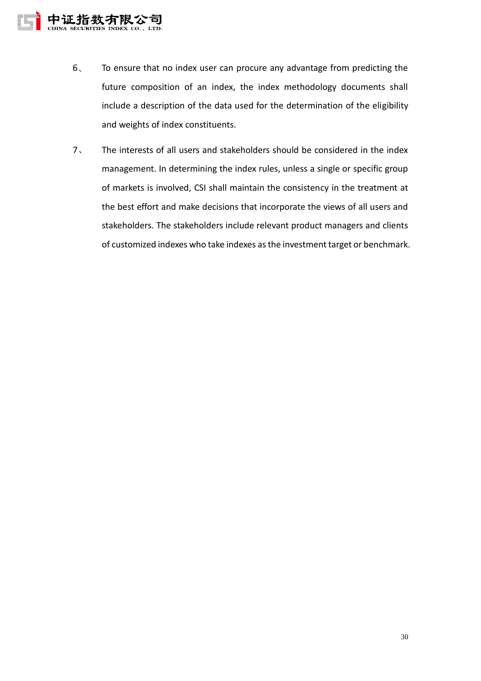

- 6、 To ensure that no index user can procure any advantage from predicting the future composition of an index, the index methodology documents shall include a description of the data used for the determination of the eligibility and weights of index constituents.
- 7、 The interests of all users and stakeholders should be considered in the index management. In determining the index rules, unless a single or specific group of markets is involved, CSI shall maintain the consistency in the treatment at the best effort and make decisions that incorporate the views of all users and stakeholders. The stakeholders include relevant product managers and clients of customized indexes who take indexes as the investment target or benchmark.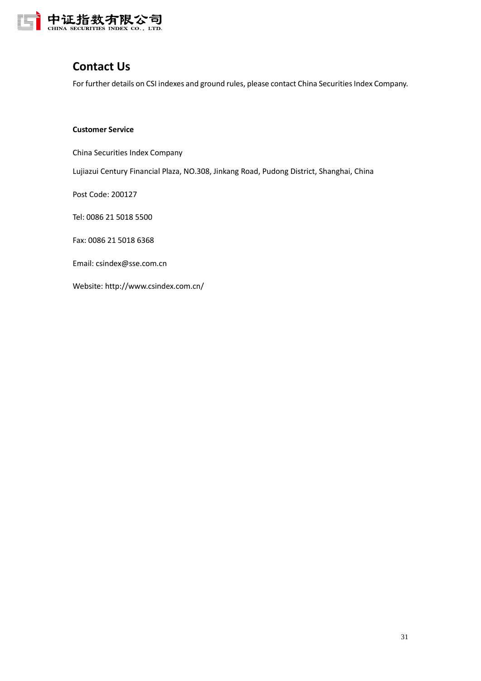

## <span id="page-30-0"></span>**Contact Us**

For further details on CSI indexes and ground rules, please contact China Securities Index Company.

#### **Customer Service**

China Securities Index Company

Lujiazui Century Financial Plaza, NO.308, Jinkang Road, Pudong District, Shanghai, China

Post Code: 200127

Tel: 0086 21 5018 5500

Fax: 0086 21 5018 6368

Email: csindex@sse.com.cn

Website: http://www.csindex.com.cn/